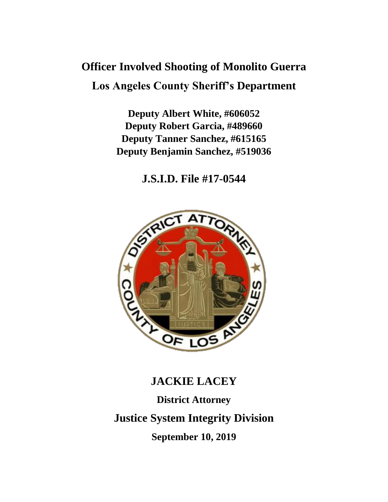# **Officer Involved Shooting of Monolito Guerra Los Angeles County Sheriff's Department**

**Deputy Albert White, #606052 Deputy Robert Garcia, #489660 Deputy Tanner Sanchez, #615165 Deputy Benjamin Sanchez, #519036**

**J.S.I.D. File #17-0544**



# **JACKIE LACEY**

**District Attorney Justice System Integrity Division September 10, 2019**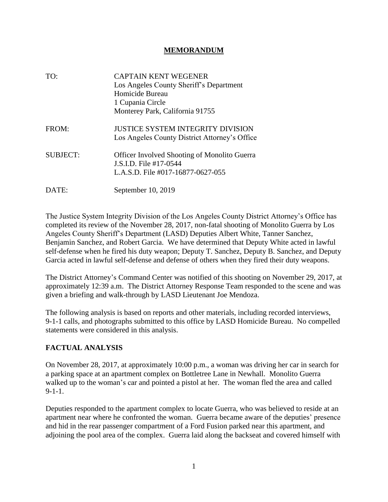#### **MEMORANDUM**

| TO:             | <b>CAPTAIN KENT WEGENER</b><br>Los Angeles County Sheriff's Department<br>Homicide Bureau<br>1 Cupania Circle<br>Monterey Park, California 91755 |
|-----------------|--------------------------------------------------------------------------------------------------------------------------------------------------|
| FROM:           | <b>JUSTICE SYSTEM INTEGRITY DIVISION</b><br>Los Angeles County District Attorney's Office                                                        |
| <b>SUBJECT:</b> | <b>Officer Involved Shooting of Monolito Guerra</b><br>J.S.I.D. File #17-0544<br>L.A.S.D. File #017-16877-0627-055                               |
| DATE:           | September 10, 2019                                                                                                                               |

The Justice System Integrity Division of the Los Angeles County District Attorney's Office has completed its review of the November 28, 2017, non-fatal shooting of Monolito Guerra by Los Angeles County Sheriff's Department (LASD) Deputies Albert White, Tanner Sanchez, Benjamin Sanchez, and Robert Garcia. We have determined that Deputy White acted in lawful self-defense when he fired his duty weapon; Deputy T. Sanchez, Deputy B. Sanchez, and Deputy Garcia acted in lawful self-defense and defense of others when they fired their duty weapons.

The District Attorney's Command Center was notified of this shooting on November 29, 2017, at approximately 12:39 a.m. The District Attorney Response Team responded to the scene and was given a briefing and walk-through by LASD Lieutenant Joe Mendoza.

The following analysis is based on reports and other materials, including recorded interviews, 9-1-1 calls, and photographs submitted to this office by LASD Homicide Bureau. No compelled statements were considered in this analysis.

## **FACTUAL ANALYSIS**

On November 28, 2017, at approximately 10:00 p.m., a woman was driving her car in search for a parking space at an apartment complex on Bottletree Lane in Newhall. Monolito Guerra walked up to the woman's car and pointed a pistol at her. The woman fled the area and called 9-1-1.

Deputies responded to the apartment complex to locate Guerra, who was believed to reside at an apartment near where he confronted the woman. Guerra became aware of the deputies' presence and hid in the rear passenger compartment of a Ford Fusion parked near this apartment, and adjoining the pool area of the complex. Guerra laid along the backseat and covered himself with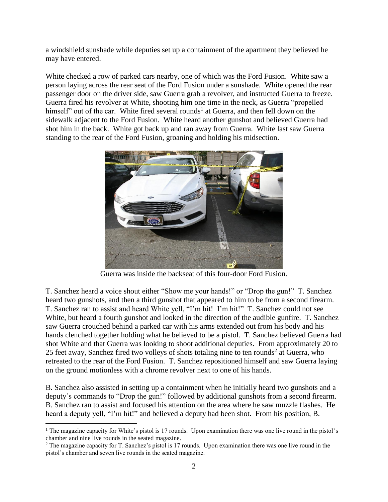a windshield sunshade while deputies set up a containment of the apartment they believed he may have entered.

White checked a row of parked cars nearby, one of which was the Ford Fusion. White saw a person laying across the rear seat of the Ford Fusion under a sunshade. White opened the rear passenger door on the driver side, saw Guerra grab a revolver, and instructed Guerra to freeze. Guerra fired his revolver at White, shooting him one time in the neck, as Guerra "propelled himself" out of the car. White fired several rounds<sup>1</sup> at Guerra, and then fell down on the sidewalk adjacent to the Ford Fusion. White heard another gunshot and believed Guerra had shot him in the back. White got back up and ran away from Guerra. White last saw Guerra standing to the rear of the Ford Fusion, groaning and holding his midsection.



Guerra was inside the backseat of this four-door Ford Fusion.

T. Sanchez heard a voice shout either "Show me your hands!" or "Drop the gun!" T. Sanchez heard two gunshots, and then a third gunshot that appeared to him to be from a second firearm. T. Sanchez ran to assist and heard White yell, "I'm hit! I'm hit!" T. Sanchez could not see White, but heard a fourth gunshot and looked in the direction of the audible gunfire. T. Sanchez saw Guerra crouched behind a parked car with his arms extended out from his body and his hands clenched together holding what he believed to be a pistol. T. Sanchez believed Guerra had shot White and that Guerra was looking to shoot additional deputies. From approximately 20 to 25 feet away, Sanchez fired two volleys of shots totaling nine to ten rounds<sup>2</sup> at Guerra, who retreated to the rear of the Ford Fusion. T. Sanchez repositioned himself and saw Guerra laying on the ground motionless with a chrome revolver next to one of his hands.

B. Sanchez also assisted in setting up a containment when he initially heard two gunshots and a deputy's commands to "Drop the gun!" followed by additional gunshots from a second firearm. B. Sanchez ran to assist and focused his attention on the area where he saw muzzle flashes. He heard a deputy yell, "I'm hit!" and believed a deputy had been shot. From his position, B.

<sup>&</sup>lt;sup>1</sup> The magazine capacity for White's pistol is 17 rounds. Upon examination there was one live round in the pistol's chamber and nine live rounds in the seated magazine.

<sup>&</sup>lt;sup>2</sup> The magazine capacity for T. Sanchez's pistol is 17 rounds. Upon examination there was one live round in the pistol's chamber and seven live rounds in the seated magazine.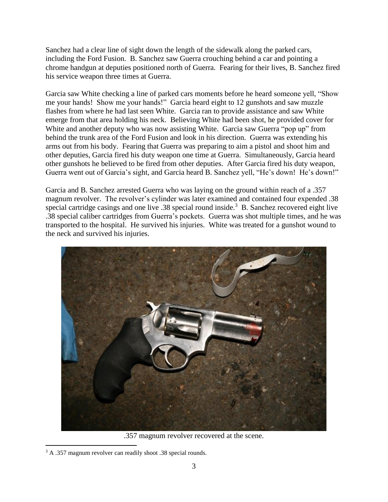Sanchez had a clear line of sight down the length of the sidewalk along the parked cars, including the Ford Fusion. B. Sanchez saw Guerra crouching behind a car and pointing a chrome handgun at deputies positioned north of Guerra. Fearing for their lives, B. Sanchez fired his service weapon three times at Guerra.

Garcia saw White checking a line of parked cars moments before he heard someone yell, "Show me your hands! Show me your hands!" Garcia heard eight to 12 gunshots and saw muzzle flashes from where he had last seen White. Garcia ran to provide assistance and saw White emerge from that area holding his neck. Believing White had been shot, he provided cover for White and another deputy who was now assisting White. Garcia saw Guerra "pop up" from behind the trunk area of the Ford Fusion and look in his direction. Guerra was extending his arms out from his body. Fearing that Guerra was preparing to aim a pistol and shoot him and other deputies, Garcia fired his duty weapon one time at Guerra. Simultaneously, Garcia heard other gunshots he believed to be fired from other deputies. After Garcia fired his duty weapon, Guerra went out of Garcia's sight, and Garcia heard B. Sanchez yell, "He's down! He's down!"

Garcia and B. Sanchez arrested Guerra who was laying on the ground within reach of a .357 magnum revolver. The revolver's cylinder was later examined and contained four expended .38 special cartridge casings and one live .38 special round inside.<sup>3</sup> B. Sanchez recovered eight live .38 special caliber cartridges from Guerra's pockets. Guerra was shot multiple times, and he was transported to the hospital. He survived his injuries. White was treated for a gunshot wound to the neck and survived his injuries.



.357 magnum revolver recovered at the scene.

<sup>&</sup>lt;sup>3</sup> A .357 magnum revolver can readily shoot .38 special rounds.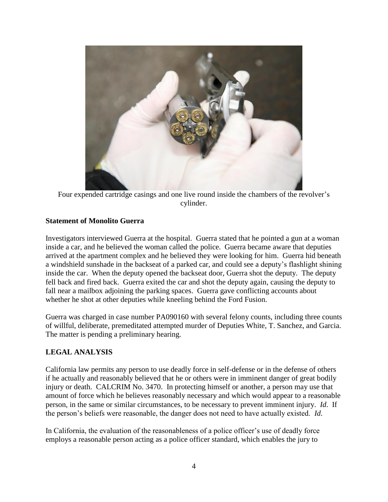

Four expended cartridge casings and one live round inside the chambers of the revolver's cylinder.

#### **Statement of Monolito Guerra**

Investigators interviewed Guerra at the hospital. Guerra stated that he pointed a gun at a woman inside a car, and he believed the woman called the police. Guerra became aware that deputies arrived at the apartment complex and he believed they were looking for him. Guerra hid beneath a windshield sunshade in the backseat of a parked car, and could see a deputy's flashlight shining inside the car. When the deputy opened the backseat door, Guerra shot the deputy. The deputy fell back and fired back. Guerra exited the car and shot the deputy again, causing the deputy to fall near a mailbox adjoining the parking spaces. Guerra gave conflicting accounts about whether he shot at other deputies while kneeling behind the Ford Fusion.

Guerra was charged in case number PA090160 with several felony counts, including three counts of willful, deliberate, premeditated attempted murder of Deputies White, T. Sanchez, and Garcia. The matter is pending a preliminary hearing.

## **LEGAL ANALYSIS**

California law permits any person to use deadly force in self-defense or in the defense of others if he actually and reasonably believed that he or others were in imminent danger of great bodily injury or death. CALCRIM No. 3470. In protecting himself or another, a person may use that amount of force which he believes reasonably necessary and which would appear to a reasonable person, in the same or similar circumstances, to be necessary to prevent imminent injury. *Id*. If the person's beliefs were reasonable, the danger does not need to have actually existed. *Id*.

In California, the evaluation of the reasonableness of a police officer's use of deadly force employs a reasonable person acting as a police officer standard, which enables the jury to